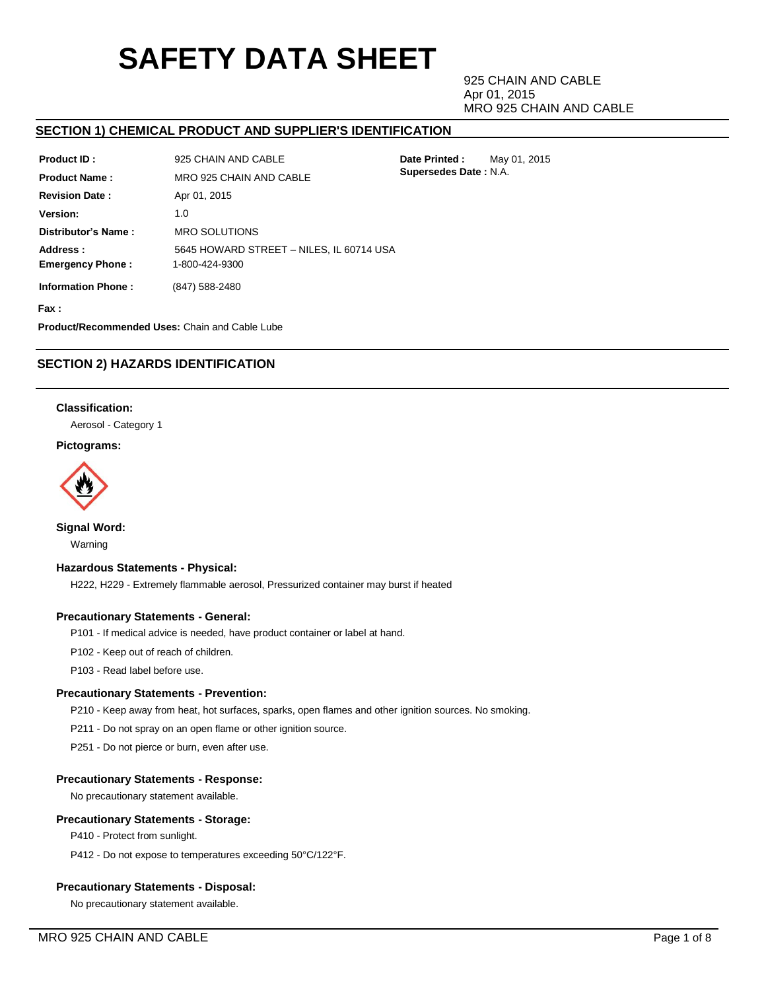# **SAFETY DATA SHEET**

925 CHAIN AND CABLE Apr 01, 2015 MRO 925 CHAIN AND CABLE

**Date Printed :** May 01, 2015 **Supersedes Date :** N.A.

## **SECTION 1) CHEMICAL PRODUCT AND SUPPLIER'S IDENTIFICATION**

| Product ID:                         | 925 CHAIN AND CABLE                                        |
|-------------------------------------|------------------------------------------------------------|
| <b>Product Name:</b>                | MRO 925 CHAIN AND CABLE                                    |
| <b>Revision Date:</b>               | Apr 01, 2015                                               |
| Version:                            | 1.0                                                        |
| Distributor's Name:                 | <b>MRO SOLUTIONS</b>                                       |
| Address:<br><b>Emergency Phone:</b> | 5645 HOWARD STREET - NILES, IL 60714 USA<br>1-800-424-9300 |
| <b>Information Phone:</b>           | (847) 588-2480                                             |
| Fax :                               |                                                            |

**Product/Recommended Uses:** Chain and Cable Lube

# **SECTION 2) HAZARDS IDENTIFICATION**

## **Classification:**

Aerosol - Category 1

## **Pictograms:**



## **Signal Word:**

Warning

## **Hazardous Statements - Physical:**

H222, H229 - Extremely flammable aerosol, Pressurized container may burst if heated

## **Precautionary Statements - General:**

P101 - If medical advice is needed, have product container or label at hand.

P102 - Keep out of reach of children.

P103 - Read label before use.

## **Precautionary Statements - Prevention:**

P210 - Keep away from heat, hot surfaces, sparks, open flames and other ignition sources. No smoking.

P211 - Do not spray on an open flame or other ignition source.

P251 - Do not pierce or burn, even after use.

## **Precautionary Statements - Response:**

No precautionary statement available.

## **Precautionary Statements - Storage:**

P410 - Protect from sunlight.

P412 - Do not expose to temperatures exceeding 50°C/122°F.

## **Precautionary Statements - Disposal:**

No precautionary statement available.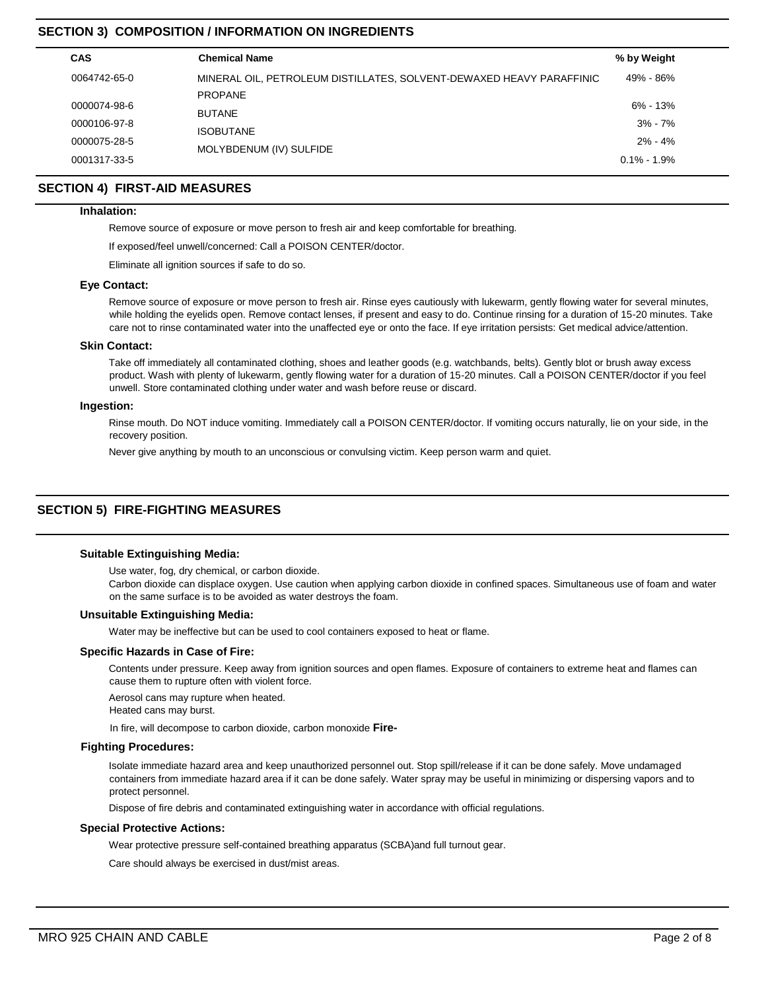# **SECTION 3) COMPOSITION / INFORMATION ON INGREDIENTS**

| <b>CAS</b>   | <b>Chemical Name</b>                                                 | % by Weight     |
|--------------|----------------------------------------------------------------------|-----------------|
| 0064742-65-0 | MINERAL OIL, PETROLEUM DISTILLATES, SOLVENT-DEWAXED HEAVY PARAFFINIC | 49% - 86%       |
|              | <b>PROPANE</b>                                                       |                 |
| 0000074-98-6 | <b>BUTANE</b>                                                        | $6\% - 13\%$    |
| 0000106-97-8 | <b>ISOBUTANE</b>                                                     | $3% - 7%$       |
| 0000075-28-5 |                                                                      | $2\% - 4\%$     |
| 0001317-33-5 | MOLYBDENUM (IV) SULFIDE                                              | $0.1\% - 1.9\%$ |

## **SECTION 4) FIRST-AID MEASURES**

#### **Inhalation:**

Remove source of exposure or move person to fresh air and keep comfortable for breathing.

If exposed/feel unwell/concerned: Call a POISON CENTER/doctor.

Eliminate all ignition sources if safe to do so.

#### **Eye Contact:**

Remove source of exposure or move person to fresh air. Rinse eyes cautiously with lukewarm, gently flowing water for several minutes, while holding the eyelids open. Remove contact lenses, if present and easy to do. Continue rinsing for a duration of 15-20 minutes. Take care not to rinse contaminated water into the unaffected eye or onto the face. If eye irritation persists: Get medical advice/attention.

#### **Skin Contact:**

Take off immediately all contaminated clothing, shoes and leather goods (e.g. watchbands, belts). Gently blot or brush away excess product. Wash with plenty of lukewarm, gently flowing water for a duration of 15-20 minutes. Call a POISON CENTER/doctor if you feel unwell. Store contaminated clothing under water and wash before reuse or discard.

## **Ingestion:**

Rinse mouth. Do NOT induce vomiting. Immediately call a POISON CENTER/doctor. If vomiting occurs naturally, lie on your side, in the recovery position.

Never give anything by mouth to an unconscious or convulsing victim. Keep person warm and quiet.

# **SECTION 5) FIRE-FIGHTING MEASURES**

## **Suitable Extinguishing Media:**

Use water, fog, dry chemical, or carbon dioxide.

Carbon dioxide can displace oxygen. Use caution when applying carbon dioxide in confined spaces. Simultaneous use of foam and water on the same surface is to be avoided as water destroys the foam.

#### **Unsuitable Extinguishing Media:**

Water may be ineffective but can be used to cool containers exposed to heat or flame.

## **Specific Hazards in Case of Fire:**

Contents under pressure. Keep away from ignition sources and open flames. Exposure of containers to extreme heat and flames can cause them to rupture often with violent force.

Aerosol cans may rupture when heated.

Heated cans may burst.

In fire, will decompose to carbon dioxide, carbon monoxide **Fire-**

#### **Fighting Procedures:**

Isolate immediate hazard area and keep unauthorized personnel out. Stop spill/release if it can be done safely. Move undamaged containers from immediate hazard area if it can be done safely. Water spray may be useful in minimizing or dispersing vapors and to protect personnel.

Dispose of fire debris and contaminated extinguishing water in accordance with official regulations.

## **Special Protective Actions:**

Wear protective pressure self-contained breathing apparatus (SCBA)and full turnout gear.

Care should always be exercised in dust/mist areas.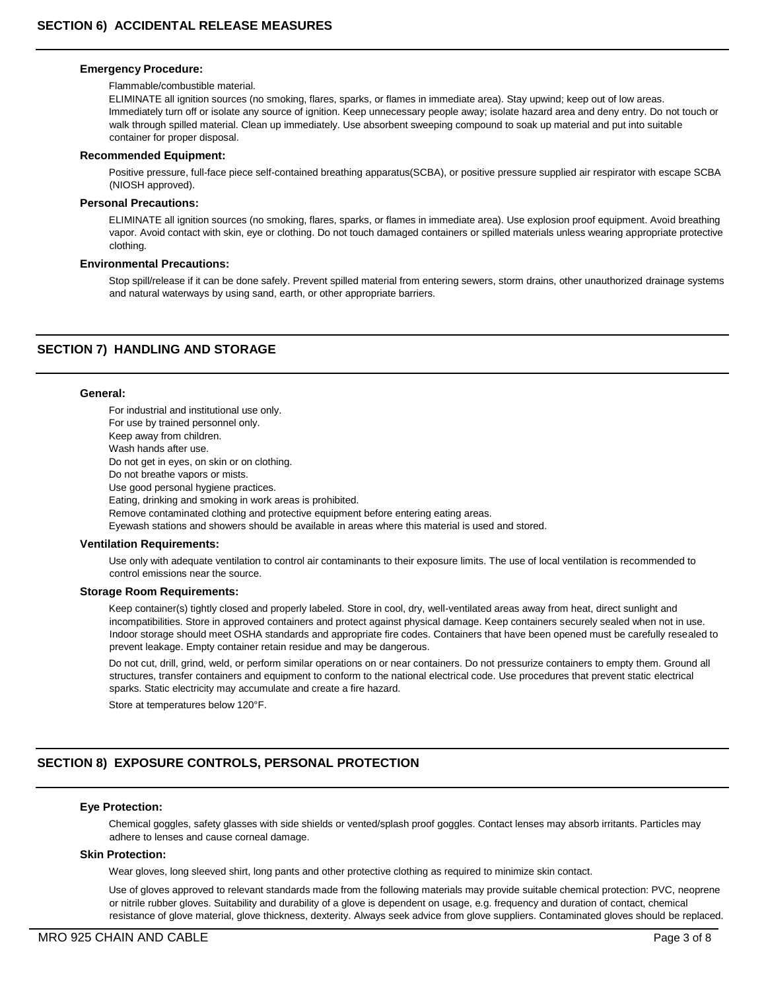#### **Emergency Procedure:**

#### Flammable/combustible material.

ELIMINATE all ignition sources (no smoking, flares, sparks, or flames in immediate area). Stay upwind; keep out of low areas. Immediately turn off or isolate any source of ignition. Keep unnecessary people away; isolate hazard area and deny entry. Do not touch or walk through spilled material. Clean up immediately. Use absorbent sweeping compound to soak up material and put into suitable container for proper disposal.

#### **Recommended Equipment:**

Positive pressure, full-face piece self-contained breathing apparatus(SCBA), or positive pressure supplied air respirator with escape SCBA (NIOSH approved).

#### **Personal Precautions:**

ELIMINATE all ignition sources (no smoking, flares, sparks, or flames in immediate area). Use explosion proof equipment. Avoid breathing vapor. Avoid contact with skin, eye or clothing. Do not touch damaged containers or spilled materials unless wearing appropriate protective clothing.

#### **Environmental Precautions:**

Stop spill/release if it can be done safely. Prevent spilled material from entering sewers, storm drains, other unauthorized drainage systems and natural waterways by using sand, earth, or other appropriate barriers.

## **SECTION 7) HANDLING AND STORAGE**

## **General:**

For industrial and institutional use only. For use by trained personnel only. Keep away from children. Wash hands after use. Do not get in eyes, on skin or on clothing. Do not breathe vapors or mists. Use good personal hygiene practices. Eating, drinking and smoking in work areas is prohibited. Remove contaminated clothing and protective equipment before entering eating areas. Eyewash stations and showers should be available in areas where this material is used and stored.

#### **Ventilation Requirements:**

Use only with adequate ventilation to control air contaminants to their exposure limits. The use of local ventilation is recommended to control emissions near the source.

#### **Storage Room Requirements:**

Keep container(s) tightly closed and properly labeled. Store in cool, dry, well-ventilated areas away from heat, direct sunlight and incompatibilities. Store in approved containers and protect against physical damage. Keep containers securely sealed when not in use. Indoor storage should meet OSHA standards and appropriate fire codes. Containers that have been opened must be carefully resealed to prevent leakage. Empty container retain residue and may be dangerous.

Do not cut, drill, grind, weld, or perform similar operations on or near containers. Do not pressurize containers to empty them. Ground all structures, transfer containers and equipment to conform to the national electrical code. Use procedures that prevent static electrical sparks. Static electricity may accumulate and create a fire hazard.

Store at temperatures below 120°F.

# **SECTION 8) EXPOSURE CONTROLS, PERSONAL PROTECTION**

## **Eye Protection:**

Chemical goggles, safety glasses with side shields or vented/splash proof goggles. Contact lenses may absorb irritants. Particles may adhere to lenses and cause corneal damage.

## **Skin Protection:**

Wear gloves, long sleeved shirt, long pants and other protective clothing as required to minimize skin contact.

Use of gloves approved to relevant standards made from the following materials may provide suitable chemical protection: PVC, neoprene or nitrile rubber gloves. Suitability and durability of a glove is dependent on usage, e.g. frequency and duration of contact, chemical resistance of glove material, glove thickness, dexterity. Always seek advice from glove suppliers. Contaminated gloves should be replaced.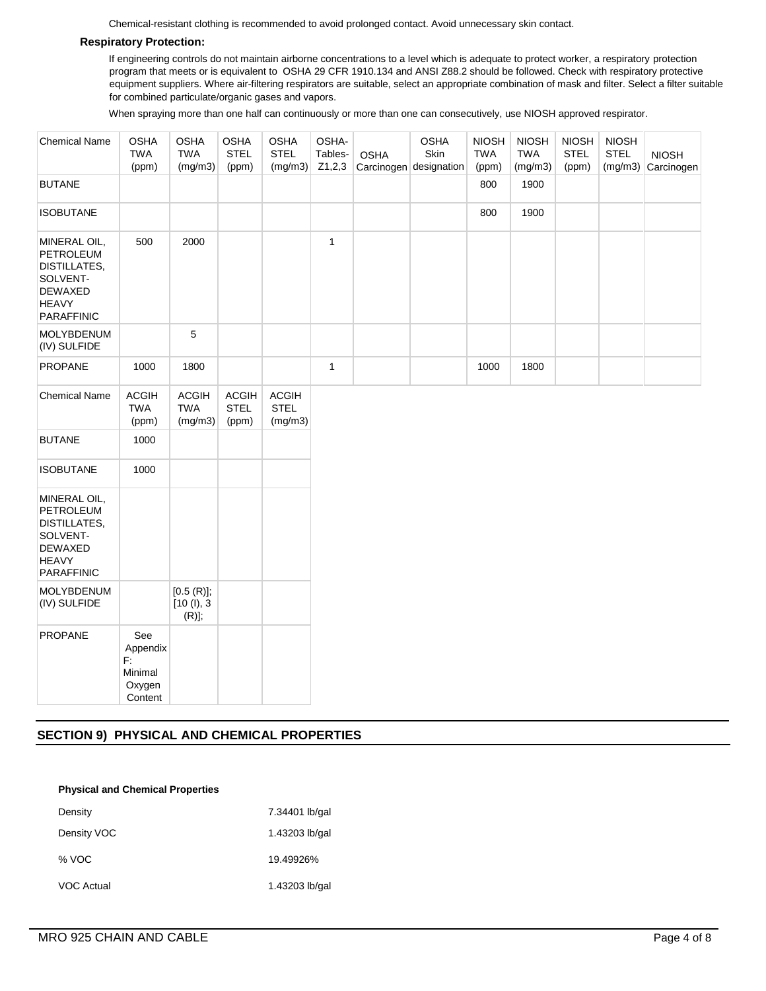Chemical-resistant clothing is recommended to avoid prolonged contact. Avoid unnecessary skin contact.

## **Respiratory Protection:**

If engineering controls do not maintain airborne concentrations to a level which is adequate to protect worker, a respiratory protection program that meets or is equivalent to OSHA 29 CFR 1910.134 and ANSI Z88.2 should be followed. Check with respiratory protective equipment suppliers. Where air-filtering respirators are suitable, select an appropriate combination of mask and filter. Select a filter suitable for combined particulate/organic gases and vapors.

When spraying more than one half can continuously or more than one can consecutively, use NIOSH approved respirator.

| <b>Chemical Name</b>                                                                                                | <b>OSHA</b><br><b>TWA</b><br>(ppm)                    | <b>OSHA</b><br><b>TWA</b><br>(mg/m3)    | <b>OSHA</b><br><b>STEL</b><br>(ppm)  | <b>OSHA</b><br><b>STEL</b><br>(mg/m3)  | OSHA-<br>Tables-<br>Z1,2,3 | <b>OSHA</b> | <b>OSHA</b><br>Skin<br>Carcinogen designation | <b>NIOSH</b><br><b>TWA</b><br>(ppm) | <b>NIOSH</b><br><b>TWA</b><br>(mg/m3) | <b>NIOSH</b><br><b>STEL</b><br>(ppm) | <b>NIOSH</b><br><b>STEL</b><br>(mg/m3) | <b>NIOSH</b><br>Carcinogen |
|---------------------------------------------------------------------------------------------------------------------|-------------------------------------------------------|-----------------------------------------|--------------------------------------|----------------------------------------|----------------------------|-------------|-----------------------------------------------|-------------------------------------|---------------------------------------|--------------------------------------|----------------------------------------|----------------------------|
| <b>BUTANE</b>                                                                                                       |                                                       |                                         |                                      |                                        |                            |             |                                               | 800                                 | 1900                                  |                                      |                                        |                            |
| <b>ISOBUTANE</b>                                                                                                    |                                                       |                                         |                                      |                                        |                            |             |                                               | 800                                 | 1900                                  |                                      |                                        |                            |
| MINERAL OIL,<br><b>PETROLEUM</b><br><b>DISTILLATES,</b><br>SOLVENT-<br><b>DEWAXED</b><br><b>HEAVY</b><br>PARAFFINIC | 500                                                   | 2000                                    |                                      |                                        | $\mathbf{1}$               |             |                                               |                                     |                                       |                                      |                                        |                            |
| <b>MOLYBDENUM</b><br>(IV) SULFIDE                                                                                   |                                                       | 5                                       |                                      |                                        |                            |             |                                               |                                     |                                       |                                      |                                        |                            |
| PROPANE                                                                                                             | 1000                                                  | 1800                                    |                                      |                                        | $\mathbf{1}$               |             |                                               | 1000                                | 1800                                  |                                      |                                        |                            |
| <b>Chemical Name</b>                                                                                                | <b>ACGIH</b><br><b>TWA</b><br>(ppm)                   | <b>ACGIH</b><br><b>TWA</b><br>(mg/m3)   | <b>ACGIH</b><br><b>STEL</b><br>(ppm) | <b>ACGIH</b><br><b>STEL</b><br>(mg/m3) |                            |             |                                               |                                     |                                       |                                      |                                        |                            |
| <b>BUTANE</b>                                                                                                       | 1000                                                  |                                         |                                      |                                        |                            |             |                                               |                                     |                                       |                                      |                                        |                            |
| <b>ISOBUTANE</b>                                                                                                    | 1000                                                  |                                         |                                      |                                        |                            |             |                                               |                                     |                                       |                                      |                                        |                            |
| MINERAL OIL,<br>PETROLEUM<br><b>DISTILLATES,</b><br>SOLVENT-<br><b>DEWAXED</b><br><b>HEAVY</b><br><b>PARAFFINIC</b> |                                                       |                                         |                                      |                                        |                            |             |                                               |                                     |                                       |                                      |                                        |                            |
| MOLYBDENUM<br>(IV) SULFIDE                                                                                          |                                                       | $[0.5(R)]$ ;<br>[10 (l), 3]<br>$(R)$ ]; |                                      |                                        |                            |             |                                               |                                     |                                       |                                      |                                        |                            |
| <b>PROPANE</b>                                                                                                      | See<br>Appendix<br>F:<br>Minimal<br>Oxygen<br>Content |                                         |                                      |                                        |                            |             |                                               |                                     |                                       |                                      |                                        |                            |

# **SECTION 9) PHYSICAL AND CHEMICAL PROPERTIES**

| <b>Physical and Chemical Properties</b> |                |  |  |  |
|-----------------------------------------|----------------|--|--|--|
| Density                                 | 7.34401 lb/gal |  |  |  |
| Density VOC                             | 1.43203 lb/gal |  |  |  |
| % VOC                                   | 19.49926%      |  |  |  |
| VOC Actual                              | 1.43203 lb/gal |  |  |  |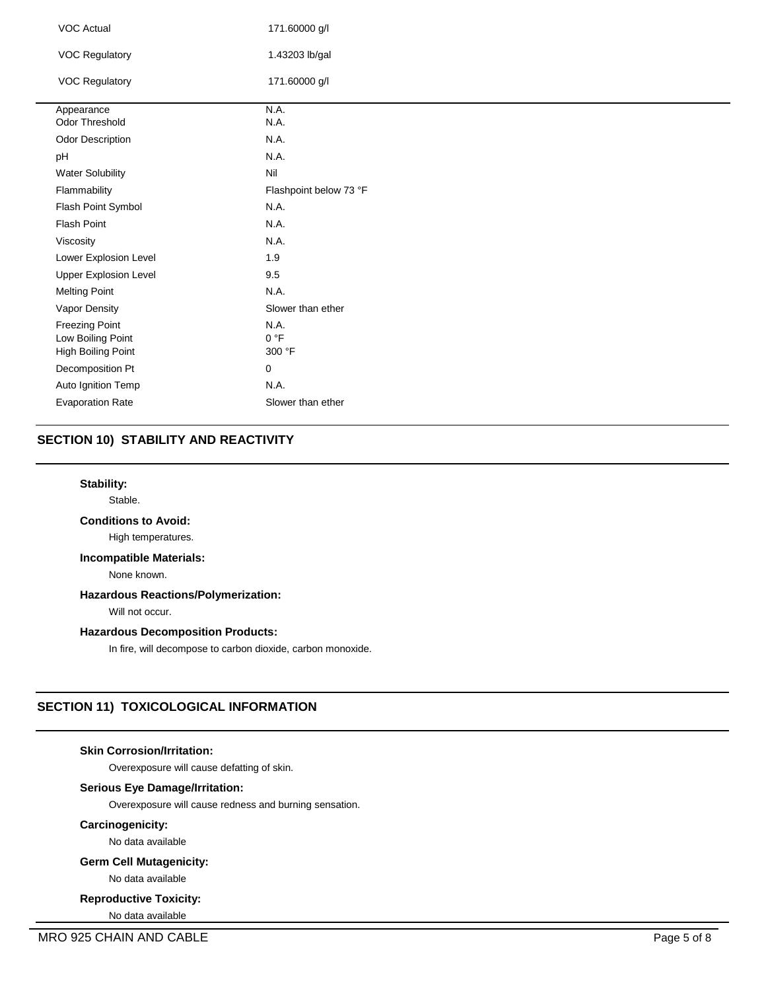| <b>VOC Actual</b>            | 171.60000 g/l          |
|------------------------------|------------------------|
| <b>VOC Regulatory</b>        | 1.43203 lb/gal         |
| <b>VOC Regulatory</b>        | 171.60000 g/l          |
| Appearance                   | N.A.                   |
| Odor Threshold               | N.A.                   |
| <b>Odor Description</b>      | N.A.                   |
| pH                           | N.A.                   |
| <b>Water Solubility</b>      | Nil                    |
| Flammability                 | Flashpoint below 73 °F |
| Flash Point Symbol           | N.A.                   |
| <b>Flash Point</b>           | N.A.                   |
| Viscosity                    | N.A.                   |
| Lower Explosion Level        | 1.9                    |
| <b>Upper Explosion Level</b> | 9.5                    |
| <b>Melting Point</b>         | N.A.                   |
| Vapor Density                | Slower than ether      |
| <b>Freezing Point</b>        | N.A.                   |
| Low Boiling Point            | 0 °F                   |
| High Boiling Point           | 300 °F                 |
| Decomposition Pt             | $\mathbf 0$            |
| Auto Ignition Temp           | N.A.                   |
| <b>Evaporation Rate</b>      | Slower than ether      |

# **SECTION 10) STABILITY AND REACTIVITY**

## **Stability:**

Stable.

## **Conditions to Avoid:**

High temperatures.

## **Incompatible Materials:**

None known.

# **Hazardous Reactions/Polymerization:**

Will not occur.

## **Hazardous Decomposition Products:**

In fire, will decompose to carbon dioxide, carbon monoxide.

# **SECTION 11) TOXICOLOGICAL INFORMATION**

## **Skin Corrosion/Irritation:**

Overexposure will cause defatting of skin.

## **Serious Eye Damage/Irritation:**

Overexposure will cause redness and burning sensation.

## **Carcinogenicity:**

No data available

#### **Germ Cell Mutagenicity:**

No data available

## **Reproductive Toxicity:**

No data available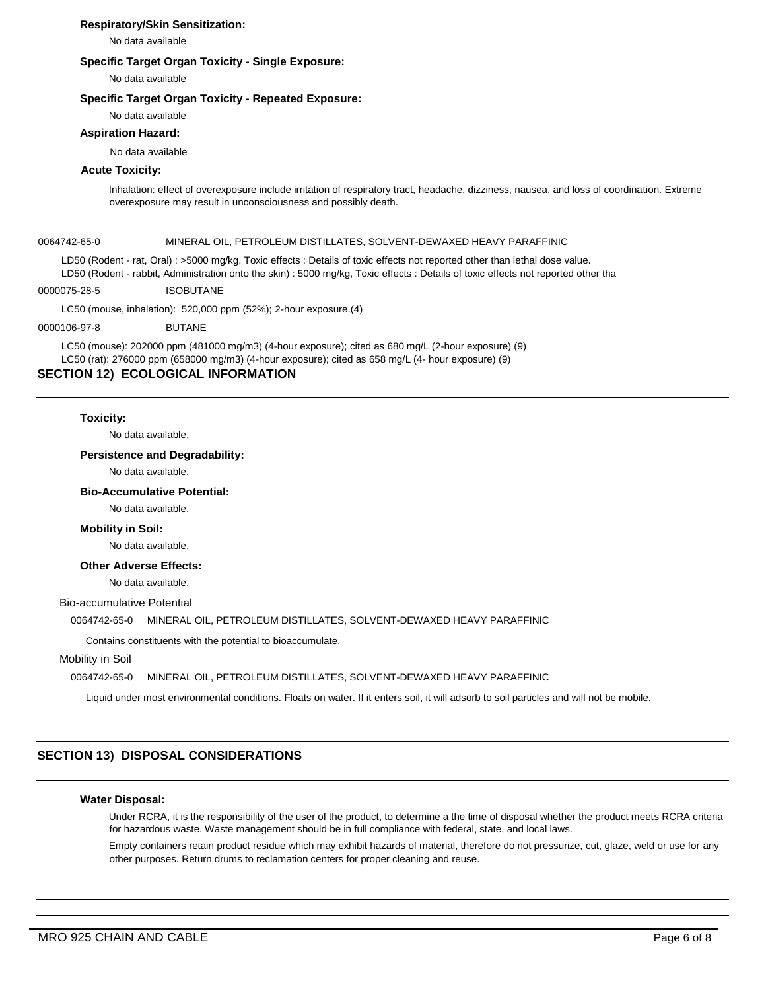## **Respiratory/Skin Sensitization:**

No data available

## **Specific Target Organ Toxicity - Single Exposure:**

No data available

#### **Specific Target Organ Toxicity - Repeated Exposure:**

No data available

#### **Aspiration Hazard:**

No data available

## **Acute Toxicity:**

Inhalation: effect of overexposure include irritation of respiratory tract, headache, dizziness, nausea, and loss of coordination. Extreme overexposure may result in unconsciousness and possibly death.

#### 0064742-65-0 MINERAL OIL, PETROLEUM DISTILLATES, SOLVENT-DEWAXED HEAVY PARAFFINIC

LD50 (Rodent - rat, Oral) : >5000 mg/kg, Toxic effects : Details of toxic effects not reported other than lethal dose value. LD50 (Rodent - rabbit, Administration onto the skin) : 5000 mg/kg, Toxic effects : Details of toxic effects not reported other tha

0000075-28-5 ISOBUTANE

LC50 (mouse, inhalation): 520,000 ppm (52%); 2-hour exposure.(4)

#### 0000106-97-8 BUTANE

LC50 (mouse): 202000 ppm (481000 mg/m3) (4-hour exposure); cited as 680 mg/L (2-hour exposure) (9) LC50 (rat): 276000 ppm (658000 mg/m3) (4-hour exposure); cited as 658 mg/L (4- hour exposure) (9)

## **SECTION 12) ECOLOGICAL INFORMATION**

#### **Toxicity:**

No data available.

#### **Persistence and Degradability:**

No data available.

#### **Bio-Accumulative Potential:**

No data available.

#### **Mobility in Soil:**

No data available.

#### **Other Adverse Effects:**

No data available.

## Bio-accumulative Potential

## 0064742-65-0 MINERAL OIL, PETROLEUM DISTILLATES, SOLVENT-DEWAXED HEAVY PARAFFINIC

Contains constituents with the potential to bioaccumulate.

## Mobility in Soil

## 0064742-65-0 MINERAL OIL, PETROLEUM DISTILLATES, SOLVENT-DEWAXED HEAVY PARAFFINIC

Liquid under most environmental conditions. Floats on water. If it enters soil, it will adsorb to soil particles and will not be mobile.

# **SECTION 13) DISPOSAL CONSIDERATIONS**

## **Water Disposal:**

Under RCRA, it is the responsibility of the user of the product, to determine a the time of disposal whether the product meets RCRA criteria for hazardous waste. Waste management should be in full compliance with federal, state, and local laws.

Empty containers retain product residue which may exhibit hazards of material, therefore do not pressurize, cut, glaze, weld or use for any other purposes. Return drums to reclamation centers for proper cleaning and reuse.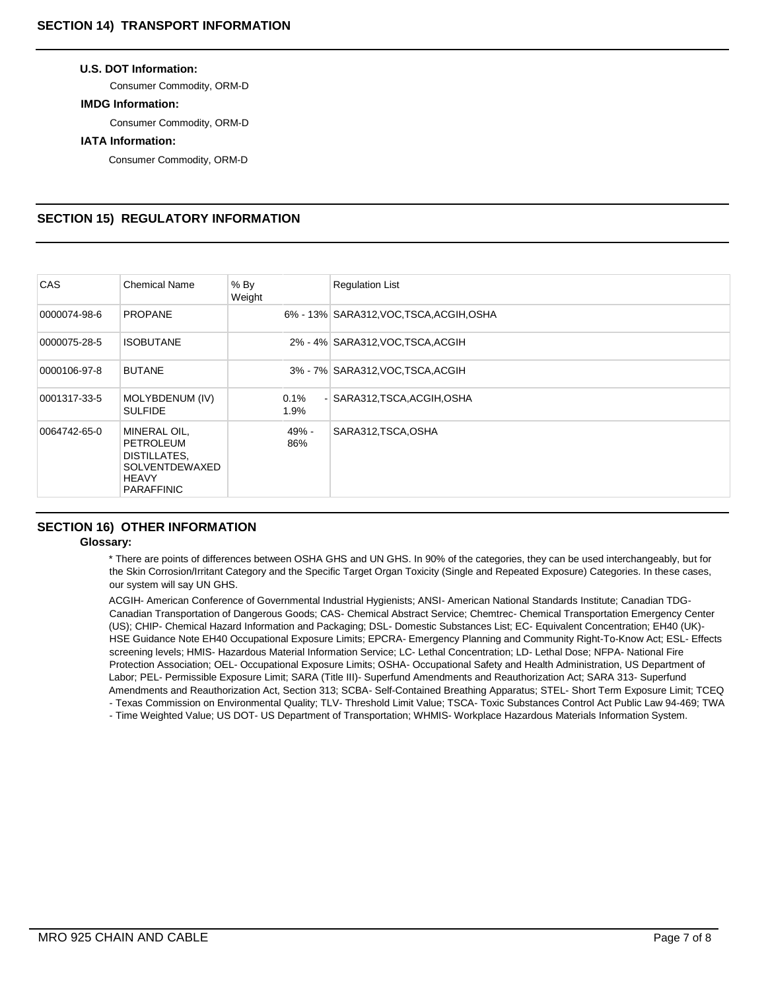## **U.S. DOT Information:**

Consumer Commodity, ORM-D

## **IMDG Information:**

Consumer Commodity, ORM-D

## **IATA Information:**

Consumer Commodity, ORM-D

# **SECTION 15) REGULATORY INFORMATION**

| <b>CAS</b>   | <b>Chemical Name</b>                                                                             | $%$ By<br>Weight | <b>Regulation List</b>                   |
|--------------|--------------------------------------------------------------------------------------------------|------------------|------------------------------------------|
| 0000074-98-6 | <b>PROPANE</b>                                                                                   |                  | 6% - 13% SARA312, VOC, TSCA, ACGIH, OSHA |
| 0000075-28-5 | <b>ISOBUTANE</b>                                                                                 |                  | 2% - 4% SARA312, VOC, TSCA, ACGIH        |
| 0000106-97-8 | <b>BUTANE</b>                                                                                    |                  | 3% - 7% SARA312, VOC, TSCA, ACGIH        |
| 0001317-33-5 | MOLYBDENUM (IV)<br><b>SULFIDE</b>                                                                | 0.1%<br>1.9%     | - SARA312, TSCA, ACGIH, OSHA             |
| 0064742-65-0 | MINERAL OIL,<br>PETROLEUM<br>DISTILLATES,<br>SOLVENTDEWAXED<br><b>HEAVY</b><br><b>PARAFFINIC</b> | 49% -<br>86%     | SARA312,TSCA,OSHA                        |

## **SECTION 16) OTHER INFORMATION**

## **Glossary:**

\* There are points of differences between OSHA GHS and UN GHS. In 90% of the categories, they can be used interchangeably, but for the Skin Corrosion/Irritant Category and the Specific Target Organ Toxicity (Single and Repeated Exposure) Categories. In these cases, our system will say UN GHS.

ACGIH- American Conference of Governmental Industrial Hygienists; ANSI- American National Standards Institute; Canadian TDG-Canadian Transportation of Dangerous Goods; CAS- Chemical Abstract Service; Chemtrec- Chemical Transportation Emergency Center (US); CHIP- Chemical Hazard Information and Packaging; DSL- Domestic Substances List; EC- Equivalent Concentration; EH40 (UK)- HSE Guidance Note EH40 Occupational Exposure Limits; EPCRA- Emergency Planning and Community Right-To-Know Act; ESL- Effects screening levels; HMIS- Hazardous Material Information Service; LC- Lethal Concentration; LD- Lethal Dose; NFPA- National Fire Protection Association; OEL- Occupational Exposure Limits; OSHA- Occupational Safety and Health Administration, US Department of Labor; PEL- Permissible Exposure Limit; SARA (Title III)- Superfund Amendments and Reauthorization Act; SARA 313- Superfund Amendments and Reauthorization Act, Section 313; SCBA- Self-Contained Breathing Apparatus; STEL- Short Term Exposure Limit; TCEQ - Texas Commission on Environmental Quality; TLV- Threshold Limit Value; TSCA- Toxic Substances Control Act Public Law 94-469; TWA

- Time Weighted Value; US DOT- US Department of Transportation; WHMIS- Workplace Hazardous Materials Information System.